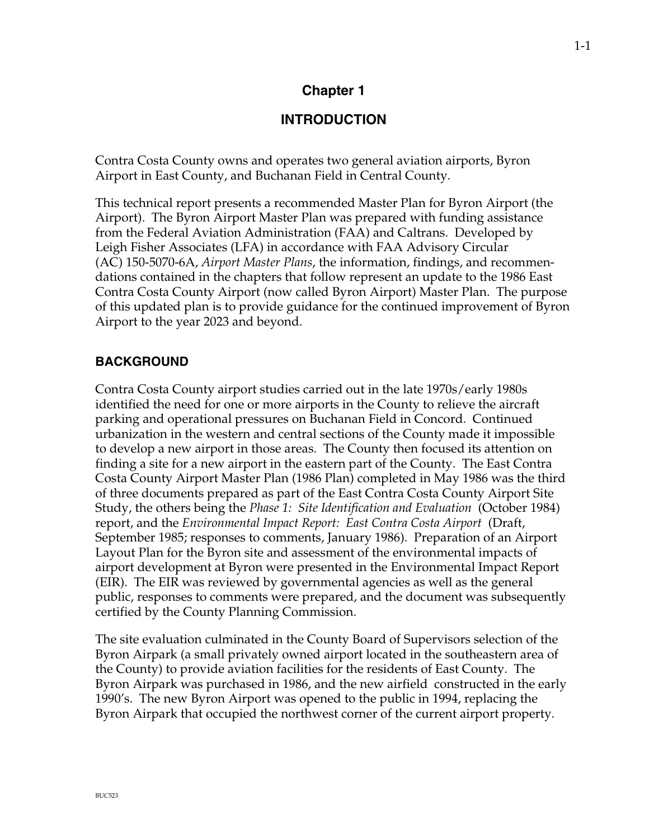## **Chapter 1**

# **INTRODUCTION**

Contra Costa County owns and operates two general aviation airports, Byron Airport in East County, and Buchanan Field in Central County.

This technical report presents a recommended Master Plan for Byron Airport (the Airport). The Byron Airport Master Plan was prepared with funding assistance from the Federal Aviation Administration (FAA) and Caltrans. Developed by Leigh Fisher Associates (LFA) in accordance with FAA Advisory Circular (AC) 150-5070-6A, *Airport Master Plans*, the information, findings, and recommendations contained in the chapters that follow represent an update to the 1986 East Contra Costa County Airport (now called Byron Airport) Master Plan. The purpose of this updated plan is to provide guidance for the continued improvement of Byron Airport to the year 2023 and beyond.

### **BACKGROUND**

Contra Costa County airport studies carried out in the late 1970s/early 1980s identified the need for one or more airports in the County to relieve the aircraft parking and operational pressures on Buchanan Field in Concord. Continued urbanization in the western and central sections of the County made it impossible to develop a new airport in those areas. The County then focused its attention on finding a site for a new airport in the eastern part of the County. The East Contra Costa County Airport Master Plan (1986 Plan) completed in May 1986 was the third of three documents prepared as part of the East Contra Costa County Airport Site Study, the others being the *Phase 1: Site Identification and Evaluation* (October 1984) report, and the *Environmental Impact Report: East Contra Costa Airport* (Draft, September 1985; responses to comments, January 1986). Preparation of an Airport Layout Plan for the Byron site and assessment of the environmental impacts of airport development at Byron were presented in the Environmental Impact Report (EIR). The EIR was reviewed by governmental agencies as well as the general public, responses to comments were prepared, and the document was subsequently certified by the County Planning Commission.

The site evaluation culminated in the County Board of Supervisors selection of the Byron Airpark (a small privately owned airport located in the southeastern area of the County) to provide aviation facilities for the residents of East County. The Byron Airpark was purchased in 1986, and the new airfield constructed in the early 1990's. The new Byron Airport was opened to the public in 1994, replacing the Byron Airpark that occupied the northwest corner of the current airport property.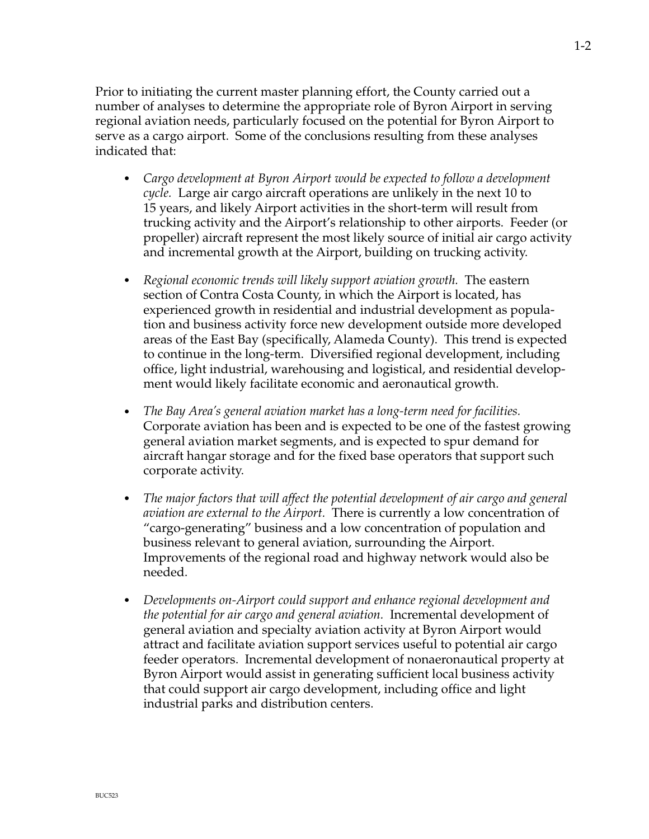Prior to initiating the current master planning effort, the County carried out a number of analyses to determine the appropriate role of Byron Airport in serving regional aviation needs, particularly focused on the potential for Byron Airport to serve as a cargo airport. Some of the conclusions resulting from these analyses indicated that:

- *Cargo development at Byron Airport would be expected to follow a development cycle.* Large air cargo aircraft operations are unlikely in the next 10 to 15 years, and likely Airport activities in the short-term will result from trucking activity and the Airport's relationship to other airports. Feeder (or propeller) aircraft represent the most likely source of initial air cargo activity and incremental growth at the Airport, building on trucking activity.
- *Regional economic trends will likely support aviation growth.*The eastern section of Contra Costa County, in which the Airport is located, has experienced growth in residential and industrial development as population and business activity force new development outside more developed areas of the East Bay (specifically, Alameda County). This trend is expected to continue in the long-term. Diversified regional development, including office, light industrial, warehousing and logistical, and residential development would likely facilitate economic and aeronautical growth.
- *The Bay Area's general aviation market has a long-term need for facilities.* Corporate aviation has been and is expected to be one of the fastest growing general aviation market segments, and is expected to spur demand for aircraft hangar storage and for the fixed base operators that support such corporate activity.
- The major factors that will affect the potential development of air cargo and general *aviation are external to the Airport.* There is currently a low concentration of "cargo-generating" business and a low concentration of population and business relevant to general aviation, surrounding the Airport. Improvements of the regional road and highway network would also be needed.
- *Developments on-Airport could support and enhance regional development and the potential for air cargo and general aviation.* Incremental development of general aviation and specialty aviation activity at Byron Airport would attract and facilitate aviation support services useful to potential air cargo feeder operators. Incremental development of nonaeronautical property at Byron Airport would assist in generating sufficient local business activity that could support air cargo development, including office and light industrial parks and distribution centers.